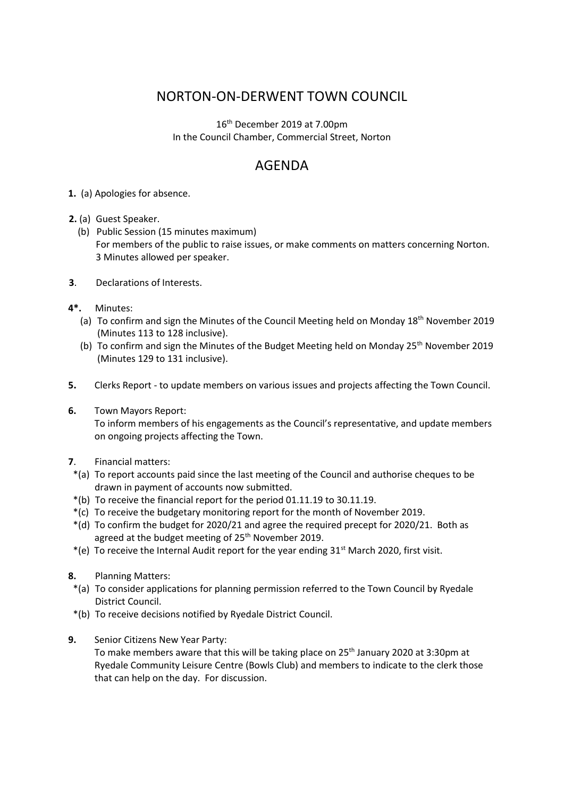## NORTON-ON-DERWENT TOWN COUNCIL

16th December 2019 at 7.00pm In the Council Chamber, Commercial Street, Norton

## AGENDA

- **1.** (a) Apologies for absence.
- **2.** (a) Guest Speaker.
	- (b) Public Session (15 minutes maximum) For members of the public to raise issues, or make comments on matters concerning Norton. 3 Minutes allowed per speaker.
- **3**. Declarations of Interests.
- **4\*.** Minutes:
	- (a) To confirm and sign the Minutes of the Council Meeting held on Monday 18<sup>th</sup> November 2019 (Minutes 113 to 128 inclusive).
	- (b) To confirm and sign the Minutes of the Budget Meeting held on Monday 25<sup>th</sup> November 2019 (Minutes 129 to 131 inclusive).
- **5.** Clerks Report to update members on various issues and projects affecting the Town Council.
- **6.** Town Mayors Report: To inform members of his engagements as the Council's representative, and update members on ongoing projects affecting the Town.
- **7**. Financial matters:
- \*(a) To report accounts paid since the last meeting of the Council and authorise cheques to be drawn in payment of accounts now submitted.
- \*(b) To receive the financial report for the period 01.11.19 to 30.11.19.
- \*(c) To receive the budgetary monitoring report for the month of November 2019.
- \*(d) To confirm the budget for 2020/21 and agree the required precept for 2020/21. Both as agreed at the budget meeting of 25<sup>th</sup> November 2019.
- $*(e)$  To receive the Internal Audit report for the year ending 31<sup>st</sup> March 2020, first visit.
- **8.** Planning Matters:
	- \*(a) To consider applications for planning permission referred to the Town Council by Ryedale District Council.
	- \*(b) To receive decisions notified by Ryedale District Council.
- **9.** Senior Citizens New Year Party:

To make members aware that this will be taking place on 25<sup>th</sup> January 2020 at 3:30pm at Ryedale Community Leisure Centre (Bowls Club) and members to indicate to the clerk those that can help on the day. For discussion.